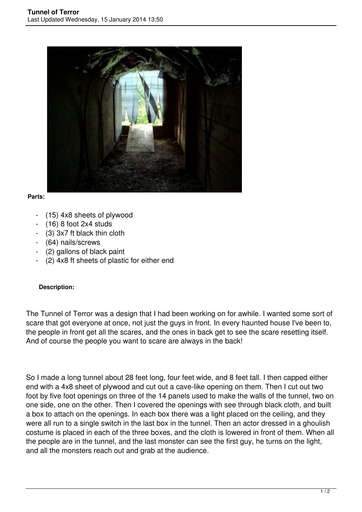

## **Parts:**

- (15) 4x8 sheets of plywood
- (16) 8 foot 2x4 studs
- (3) 3x7 ft black thin cloth
- (64) nails/screws
- (2) gallons of black paint
- (2) 4x8 ft sheets of plastic for either end

## **Description:**

The Tunnel of Terror was a design that I had been working on for awhile. I wanted some sort of scare that got everyone at once, not just the guys in front. In every haunted house I've been to, the people in front get all the scares, and the ones in back get to see the scare resetting itself. And of course the people you want to scare are always in the back!

So I made a long tunnel about 28 feet long, four feet wide, and 8 feet tall. I then capped either end with a 4x8 sheet of plywood and cut out a cave-like opening on them. Then I cut out two foot by five foot openings on three of the 14 panels used to make the walls of the tunnel, two on one side, one on the other. Then I covered the openings with see through black cloth, and built a box to attach on the openings. In each box there was a light placed on the ceiling, and they were all run to a single switch in the last box in the tunnel. Then an actor dressed in a ghoulish costume is placed in each of the three boxes, and the cloth is lowered in front of them. When all the people are in the tunnel, and the last monster can see the first guy, he turns on the light, and all the monsters reach out and grab at the audience.